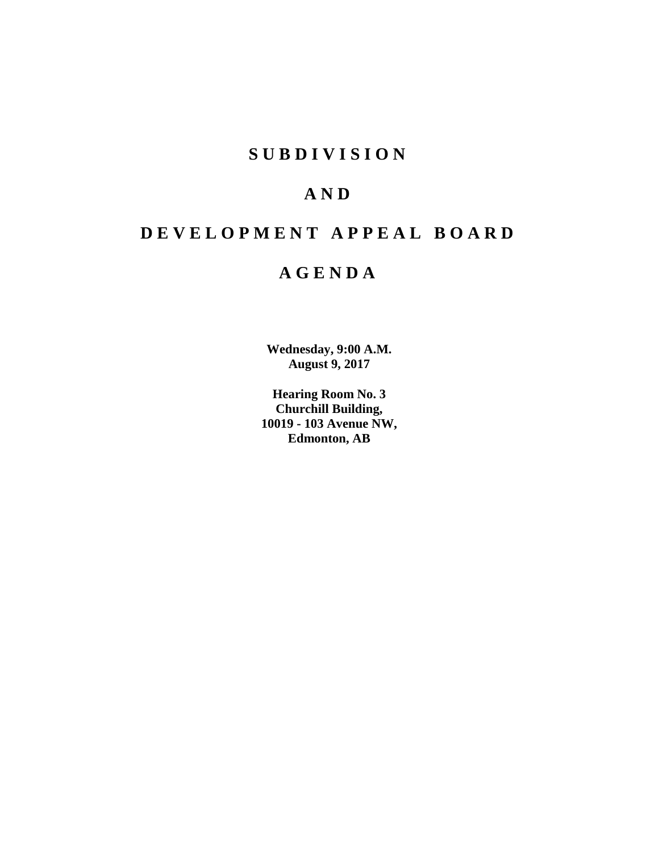## **S U B D I V I S I O N**

## **A N D**

# **D E V E L O P M E N T A P P E A L B O A R D**

## **A G E N D A**

**Wednesday, 9:00 A.M. August 9, 2017**

**Hearing Room No. 3 Churchill Building, 10019 - 103 Avenue NW, Edmonton, AB**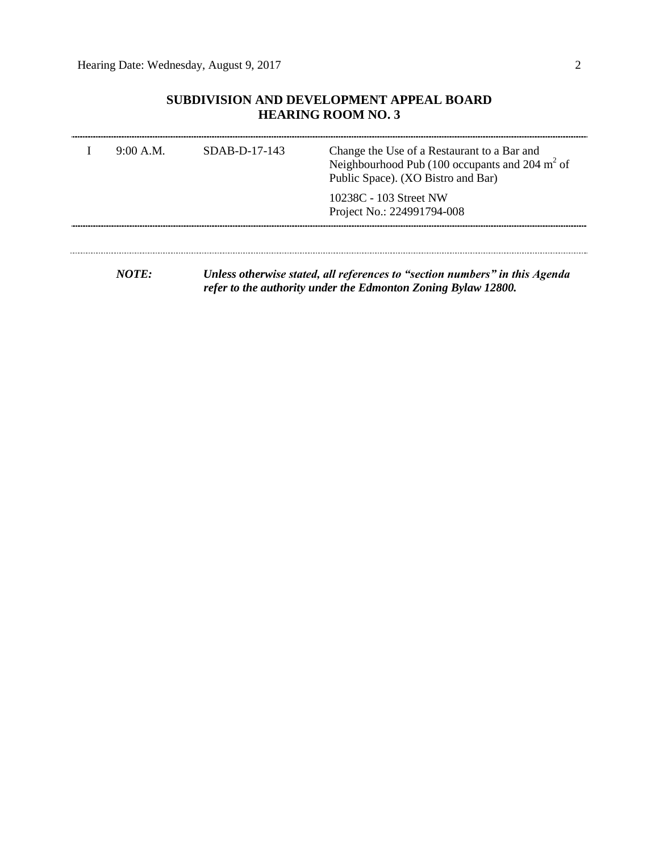## **SUBDIVISION AND DEVELOPMENT APPEAL BOARD HEARING ROOM NO. 3**

| 9:00 A.M. | $SDAB-D-17-143$ | Change the Use of a Restaurant to a Bar and<br>Neighbourhood Pub (100 occupants and 204 $m2$ of<br>Public Space). (XO Bistro and Bar) |  |  |  |
|-----------|-----------------|---------------------------------------------------------------------------------------------------------------------------------------|--|--|--|
|           |                 | 10238C - 103 Street NW<br>Project No.: 224991794-008                                                                                  |  |  |  |
|           |                 |                                                                                                                                       |  |  |  |

*NOTE: Unless otherwise stated, all references to "section numbers" in this Agenda refer to the authority under the Edmonton Zoning Bylaw 12800.*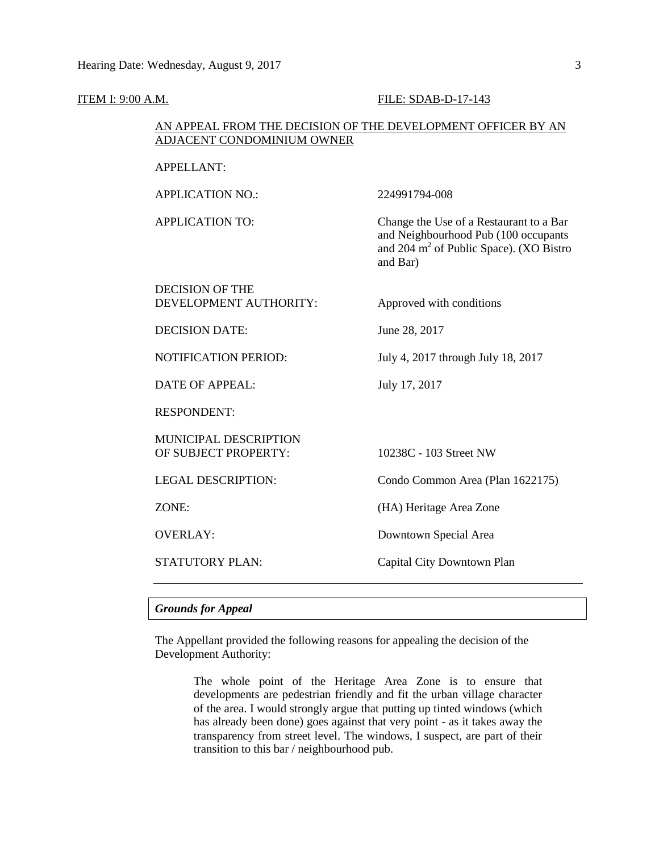#### **ITEM I: 9:00 A.M. FILE: SDAB-D-17-143**

### AN APPEAL FROM THE DECISION OF THE DEVELOPMENT OFFICER BY AN ADJACENT CONDOMINIUM OWNER

APPLICATION NO.: 224991794-008

APPLICATION TO: Change the Use of a Restaurant to a Bar and Neighbourhood Pub (100 occupants and 204  $m^2$  of Public Space). (XO Bistro and Bar)

### DECISION OF THE DEVELOPMENT AUTHORITY: Approved with conditions

DECISION DATE: June 28, 2017

NOTIFICATION PERIOD: July 4, 2017 through July 18, 2017

DATE OF APPEAL: July 17, 2017

RESPONDENT:

MUNICIPAL DESCRIPTION OF SUBJECT PROPERTY: 10238C - 103 Street NW

LEGAL DESCRIPTION: Condo Common Area (Plan 1622175)

ZONE: (HA) Heritage Area Zone

OVERLAY: Downtown Special Area

STATUTORY PLAN: Capital City Downtown Plan

#### *Grounds for Appeal*

The Appellant provided the following reasons for appealing the decision of the Development Authority:

> The whole point of the Heritage Area Zone is to ensure that developments are pedestrian friendly and fit the urban village character of the area. I would strongly argue that putting up tinted windows (which has already been done) goes against that very point - as it takes away the transparency from street level. The windows, I suspect, are part of their transition to this bar / neighbourhood pub.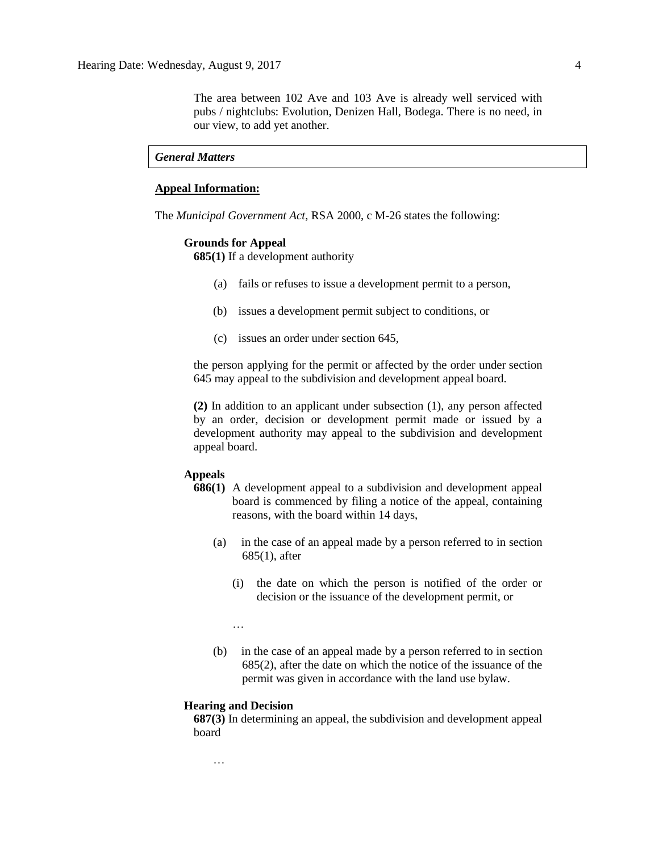The area between 102 Ave and 103 Ave is already well serviced with pubs / nightclubs: Evolution, Denizen Hall, Bodega. There is no need, in our view, to add yet another.

#### *General Matters*

### **Appeal Information:**

The *Municipal Government Act*, RSA 2000, c M-26 states the following:

#### **Grounds for Appeal**

**685(1)** If a development authority

- (a) fails or refuses to issue a development permit to a person,
- (b) issues a development permit subject to conditions, or
- (c) issues an order under section 645,

the person applying for the permit or affected by the order under section 645 may appeal to the subdivision and development appeal board.

**(2)** In addition to an applicant under subsection (1), any person affected by an order, decision or development permit made or issued by a development authority may appeal to the subdivision and development appeal board.

#### **Appeals**

- **686(1)** A development appeal to a subdivision and development appeal board is commenced by filing a notice of the appeal, containing reasons, with the board within 14 days,
	- (a) in the case of an appeal made by a person referred to in section 685(1), after
		- (i) the date on which the person is notified of the order or decision or the issuance of the development permit, or

…

(b) in the case of an appeal made by a person referred to in section 685(2), after the date on which the notice of the issuance of the permit was given in accordance with the land use bylaw.

#### **Hearing and Decision**

…

**687(3)** In determining an appeal, the subdivision and development appeal board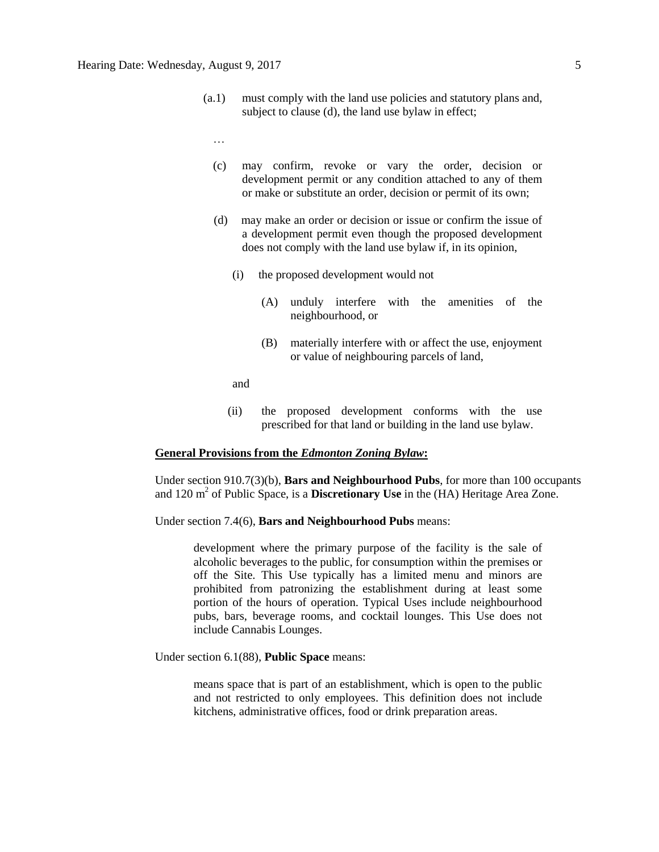- (a.1) must comply with the land use policies and statutory plans and, subject to clause (d), the land use bylaw in effect;
	- …
	- (c) may confirm, revoke or vary the order, decision or development permit or any condition attached to any of them or make or substitute an order, decision or permit of its own;
	- (d) may make an order or decision or issue or confirm the issue of a development permit even though the proposed development does not comply with the land use bylaw if, in its opinion,
		- (i) the proposed development would not
			- (A) unduly interfere with the amenities of the neighbourhood, or
			- (B) materially interfere with or affect the use, enjoyment or value of neighbouring parcels of land,

and

(ii) the proposed development conforms with the use prescribed for that land or building in the land use bylaw.

#### **General Provisions from the** *Edmonton Zoning Bylaw***:**

Under section 910.7(3)(b), **Bars and Neighbourhood Pubs**, for more than 100 occupants and 120 m<sup>2</sup> of Public Space, is a **Discretionary Use** in the (HA) Heritage Area Zone.

Under section 7.4(6), **Bars and Neighbourhood Pubs** means:

development where the primary purpose of the facility is the sale of alcoholic beverages to the public, for consumption within the premises or off the Site. This Use typically has a limited menu and minors are prohibited from patronizing the establishment during at least some portion of the hours of operation. Typical Uses include neighbourhood pubs, bars, beverage rooms, and cocktail lounges. This Use does not include Cannabis Lounges.

Under section 6.1(88), **Public Space** means:

means space that is part of an establishment, which is open to the public and not restricted to only employees. This definition does not include kitchens, administrative offices, food or drink preparation areas.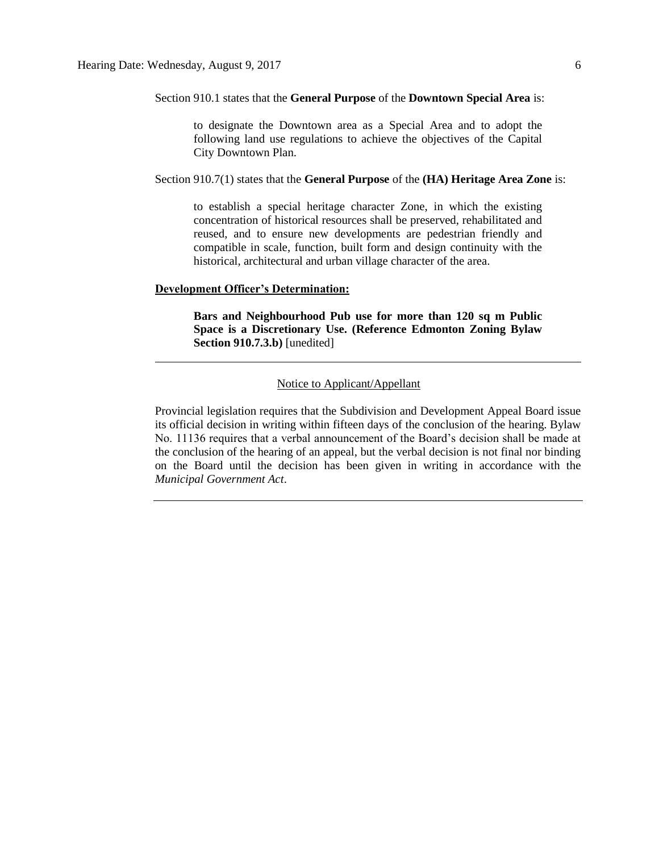#### Section 910.1 states that the **General Purpose** of the **Downtown Special Area** is:

to designate the Downtown area as a Special Area and to adopt the following land use regulations to achieve the objectives of the Capital City Downtown Plan.

#### Section 910.7(1) states that the **General Purpose** of the **(HA) Heritage Area Zone** is:

to establish a special heritage character Zone, in which the existing concentration of historical resources shall be preserved, rehabilitated and reused, and to ensure new developments are pedestrian friendly and compatible in scale, function, built form and design continuity with the historical, architectural and urban village character of the area.

#### **Development Officer's Determination:**

**Bars and Neighbourhood Pub use for more than 120 sq m Public Space is a Discretionary Use. (Reference Edmonton Zoning Bylaw Section 910.7.3.b)** [unedited]

#### Notice to Applicant/Appellant

Provincial legislation requires that the Subdivision and Development Appeal Board issue its official decision in writing within fifteen days of the conclusion of the hearing. Bylaw No. 11136 requires that a verbal announcement of the Board's decision shall be made at the conclusion of the hearing of an appeal, but the verbal decision is not final nor binding on the Board until the decision has been given in writing in accordance with the *Municipal Government Act*.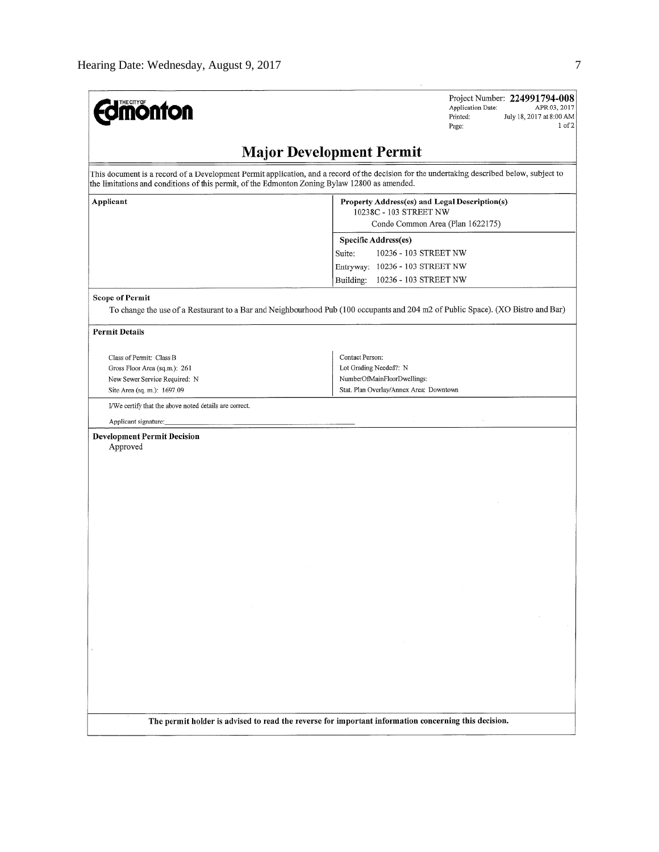| <b>dmönton</b>                                                                                | Project Number: 224991794-008<br>Application Date:<br>APR 03, 2017<br>Printed:<br>July 18, 2017 at 8:00 AM<br>$1$ of $2$<br>Page:           |  |  |  |  |  |  |  |
|-----------------------------------------------------------------------------------------------|---------------------------------------------------------------------------------------------------------------------------------------------|--|--|--|--|--|--|--|
| <b>Major Development Permit</b>                                                               |                                                                                                                                             |  |  |  |  |  |  |  |
| the limitations and conditions of this permit, of the Edmonton Zoning Bylaw 12800 as amended. | This document is a record of a Development Permit application, and a record of the decision for the undertaking described below, subject to |  |  |  |  |  |  |  |
| Applicant                                                                                     | Property Address(es) and Legal Description(s)<br>10238C - 103 STREET NW                                                                     |  |  |  |  |  |  |  |
|                                                                                               | Condo Common Area (Plan 1622175)                                                                                                            |  |  |  |  |  |  |  |
|                                                                                               | Specific Address(es)                                                                                                                        |  |  |  |  |  |  |  |
|                                                                                               | 10236 - 103 STREET NW<br>Suite:                                                                                                             |  |  |  |  |  |  |  |
|                                                                                               | Entryway: 10236 - 103 STREET NW<br>Building:<br>10236 - 103 STREET NW                                                                       |  |  |  |  |  |  |  |
|                                                                                               |                                                                                                                                             |  |  |  |  |  |  |  |
| <b>Scope of Permit</b>                                                                        | To change the use of a Restaurant to a Bar and Neighbourhood Pub (100 occupants and 204 m2 of Public Space). (XO Bistro and Bar)            |  |  |  |  |  |  |  |
|                                                                                               |                                                                                                                                             |  |  |  |  |  |  |  |
| <b>Permit Details</b>                                                                         |                                                                                                                                             |  |  |  |  |  |  |  |
| Class of Permit: Class B                                                                      | Contact Person:                                                                                                                             |  |  |  |  |  |  |  |
| Gross Floor Area (sq.m.): 261                                                                 | Lot Grading Needed?: N                                                                                                                      |  |  |  |  |  |  |  |
| New Sewer Service Required: N                                                                 | NumberOfMainFloorDwellings:                                                                                                                 |  |  |  |  |  |  |  |
| Site Area (sq. m.): 1697.09                                                                   | Stat. Plan Overlay/Annex Area: Downtown                                                                                                     |  |  |  |  |  |  |  |
| I/We certify that the above noted details are correct.                                        |                                                                                                                                             |  |  |  |  |  |  |  |
| Applicant signature:                                                                          |                                                                                                                                             |  |  |  |  |  |  |  |
| <b>Development Permit Decision</b>                                                            |                                                                                                                                             |  |  |  |  |  |  |  |
| Approved                                                                                      |                                                                                                                                             |  |  |  |  |  |  |  |
|                                                                                               |                                                                                                                                             |  |  |  |  |  |  |  |
|                                                                                               |                                                                                                                                             |  |  |  |  |  |  |  |
|                                                                                               |                                                                                                                                             |  |  |  |  |  |  |  |
|                                                                                               |                                                                                                                                             |  |  |  |  |  |  |  |
|                                                                                               |                                                                                                                                             |  |  |  |  |  |  |  |
|                                                                                               |                                                                                                                                             |  |  |  |  |  |  |  |
|                                                                                               |                                                                                                                                             |  |  |  |  |  |  |  |
|                                                                                               |                                                                                                                                             |  |  |  |  |  |  |  |
|                                                                                               |                                                                                                                                             |  |  |  |  |  |  |  |
|                                                                                               |                                                                                                                                             |  |  |  |  |  |  |  |
|                                                                                               |                                                                                                                                             |  |  |  |  |  |  |  |
|                                                                                               |                                                                                                                                             |  |  |  |  |  |  |  |
|                                                                                               |                                                                                                                                             |  |  |  |  |  |  |  |
|                                                                                               |                                                                                                                                             |  |  |  |  |  |  |  |
|                                                                                               |                                                                                                                                             |  |  |  |  |  |  |  |
|                                                                                               |                                                                                                                                             |  |  |  |  |  |  |  |
|                                                                                               |                                                                                                                                             |  |  |  |  |  |  |  |
|                                                                                               |                                                                                                                                             |  |  |  |  |  |  |  |
|                                                                                               |                                                                                                                                             |  |  |  |  |  |  |  |
|                                                                                               |                                                                                                                                             |  |  |  |  |  |  |  |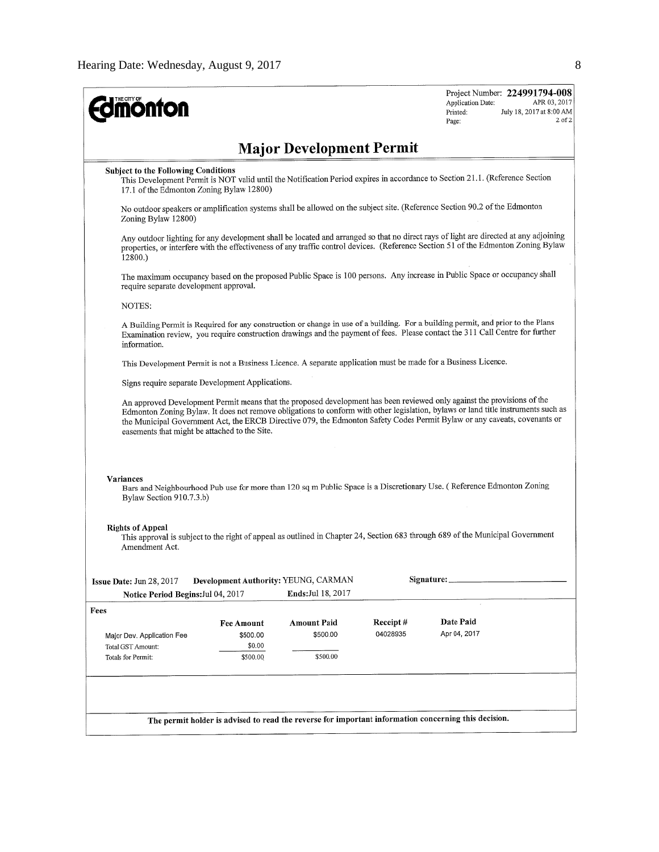| <b>ionfon</b>                                                                                                                                                                                                                                                                         |                                                                                                                            |                                                                                                                                                                                                                                                                                                                                                                                           |          | Application Date:<br>Printed:<br>Page: | Project Number: 224991794-008<br>APR 03, 2017<br>July 18, 2017 at 8:00 AM<br>$2$ of $2$ |  |  |  |
|---------------------------------------------------------------------------------------------------------------------------------------------------------------------------------------------------------------------------------------------------------------------------------------|----------------------------------------------------------------------------------------------------------------------------|-------------------------------------------------------------------------------------------------------------------------------------------------------------------------------------------------------------------------------------------------------------------------------------------------------------------------------------------------------------------------------------------|----------|----------------------------------------|-----------------------------------------------------------------------------------------|--|--|--|
|                                                                                                                                                                                                                                                                                       |                                                                                                                            | <b>Major Development Permit</b>                                                                                                                                                                                                                                                                                                                                                           |          |                                        |                                                                                         |  |  |  |
| <b>Subject to the Following Conditions</b><br>This Development Permit is NOT valid until the Notification Period expires in accordance to Section 21.1. (Reference Section<br>17.1 of the Edmonton Zoning Bylaw 12800)                                                                |                                                                                                                            |                                                                                                                                                                                                                                                                                                                                                                                           |          |                                        |                                                                                         |  |  |  |
| Zoning Bylaw 12800)                                                                                                                                                                                                                                                                   | No outdoor speakers or amplification systems shall be allowed on the subject site. (Reference Section 90.2 of the Edmonton |                                                                                                                                                                                                                                                                                                                                                                                           |          |                                        |                                                                                         |  |  |  |
| Any outdoor lighting for any development shall be located and arranged so that no direct rays of light are directed at any adjoining<br>properties, or interfere with the effectiveness of any traffic control devices. (Reference Section 51 of the Edmonton Zoning Bylaw<br>12800.) |                                                                                                                            |                                                                                                                                                                                                                                                                                                                                                                                           |          |                                        |                                                                                         |  |  |  |
| The maximum occupancy based on the proposed Public Space is 100 persons. Any increase in Public Space or occupancy shall<br>require separate development approval.                                                                                                                    |                                                                                                                            |                                                                                                                                                                                                                                                                                                                                                                                           |          |                                        |                                                                                         |  |  |  |
| NOTES:                                                                                                                                                                                                                                                                                |                                                                                                                            |                                                                                                                                                                                                                                                                                                                                                                                           |          |                                        |                                                                                         |  |  |  |
| A Building Permit is Required for any construction or change in use of a building. For a building permit, and prior to the Plans<br>Examination review, you require construction drawings and the payment of fees. Please contact the 311 Call Centre for further<br>information.     |                                                                                                                            |                                                                                                                                                                                                                                                                                                                                                                                           |          |                                        |                                                                                         |  |  |  |
|                                                                                                                                                                                                                                                                                       |                                                                                                                            | This Development Permit is not a Business Licence. A separate application must be made for a Business Licence.                                                                                                                                                                                                                                                                            |          |                                        |                                                                                         |  |  |  |
| Signs require separate Development Applications.                                                                                                                                                                                                                                      |                                                                                                                            |                                                                                                                                                                                                                                                                                                                                                                                           |          |                                        |                                                                                         |  |  |  |
| easements that might be attached to the Site.                                                                                                                                                                                                                                         |                                                                                                                            | An approved Development Permit means that the proposed development has been reviewed only against the provisions of the<br>Edmonton Zoning Bylaw. It does not remove obligations to conform with other legislation, bylaws or land title instruments such as<br>the Municipal Government Act, the ERCB Directive 079, the Edmonton Safety Codes Permit Bylaw or any caveats, covenants or |          |                                        |                                                                                         |  |  |  |
| Variances<br>Bylaw Section 910.7.3.b)                                                                                                                                                                                                                                                 |                                                                                                                            | Bars and Neighbourhood Pub use for more than 120 sq m Public Space is a Discretionary Use. (Reference Edmonton Zoning                                                                                                                                                                                                                                                                     |          |                                        |                                                                                         |  |  |  |
| <b>Rights of Appeal</b><br>This approval is subject to the right of appeal as outlined in Chapter 24, Section 683 through 689 of the Municipal Government<br>Amendment Act.                                                                                                           |                                                                                                                            |                                                                                                                                                                                                                                                                                                                                                                                           |          |                                        |                                                                                         |  |  |  |
| Issue Date: Jun 28, 2017                                                                                                                                                                                                                                                              |                                                                                                                            | Development Authority: YEUNG, CARMAN                                                                                                                                                                                                                                                                                                                                                      |          | Signature:                             |                                                                                         |  |  |  |
| Notice Period Begins: Jul 04, 2017                                                                                                                                                                                                                                                    |                                                                                                                            | Ends: Jul 18, 2017                                                                                                                                                                                                                                                                                                                                                                        |          |                                        |                                                                                         |  |  |  |
| Fees                                                                                                                                                                                                                                                                                  | Fee Amount                                                                                                                 | Amount Paid                                                                                                                                                                                                                                                                                                                                                                               | Receipt# | Date Paid                              |                                                                                         |  |  |  |
| Major Dev. Application Fee                                                                                                                                                                                                                                                            | \$500.00                                                                                                                   | \$500.00                                                                                                                                                                                                                                                                                                                                                                                  | 04028935 | Apr 04, 2017                           |                                                                                         |  |  |  |
| Total GST Amount:<br>Totals for Permit:                                                                                                                                                                                                                                               | \$0.00<br>\$500.00                                                                                                         | \$500.00                                                                                                                                                                                                                                                                                                                                                                                  |          |                                        |                                                                                         |  |  |  |
|                                                                                                                                                                                                                                                                                       |                                                                                                                            |                                                                                                                                                                                                                                                                                                                                                                                           |          |                                        |                                                                                         |  |  |  |
|                                                                                                                                                                                                                                                                                       |                                                                                                                            | The permit holder is advised to read the reverse for important information concerning this decision.                                                                                                                                                                                                                                                                                      |          |                                        |                                                                                         |  |  |  |
|                                                                                                                                                                                                                                                                                       |                                                                                                                            |                                                                                                                                                                                                                                                                                                                                                                                           |          |                                        |                                                                                         |  |  |  |